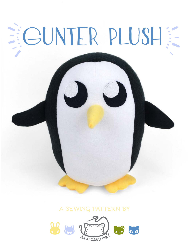

# **a sewing pattern by**

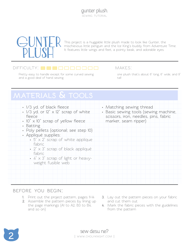gunter plush .<br>SEWING TUTORIAL



This project is a huggable little plush made to look like Gunter, the mischievous little penguin and the Ice King's buddy from Adventure Time. It features little wings and feet, a pointy beak, and adorable eyes.

## $\Box$

Pretty easy to handle except for some curved sewing and a good deal of hand sewing.

makes:

one plush that's about 6" long, 6" wide, and 9" tall

# **materials & tools**

| • 1/3 yd. of black fleece<br>$\cdot$ 1/3 yd. or 12" $\times$ 12" scrap of white<br>fleece | • Matching sewing thread<br>• Basic sewing tools (sewing machine,<br>scissors, iron, needles, pins, fabric |
|-------------------------------------------------------------------------------------------|------------------------------------------------------------------------------------------------------------|
| $\cdot$ 10" $\times$ 10" scrap of yellow fleece<br>• Batting                              | marker, seam ripper)                                                                                       |
| • Poly pellets (optional; see step 10)                                                    |                                                                                                            |
| · Appliqué supplies:                                                                      |                                                                                                            |
| $\cdot$ 5" $\times$ 2" scrap of white applique<br>fabric                                  |                                                                                                            |
| • $2" \times 3"$ scrap of black appliqué                                                  |                                                                                                            |
| fabric                                                                                    |                                                                                                            |
| • $4" \times 3"$ scrap of light or heavy-                                                 |                                                                                                            |
| weight fusible web                                                                        |                                                                                                            |
|                                                                                           |                                                                                                            |
|                                                                                           |                                                                                                            |
|                                                                                           |                                                                                                            |
|                                                                                           |                                                                                                            |
|                                                                                           |                                                                                                            |

### **before you begin:**

- **1.** Print out the project pattern, pages 11-14
- **2.** Assemble the pattern pieces by lining up the page markings (A1 to A2, B3 to B4, and so on)
- **3.** Lay out the pattern pieces on your fabric and cut them out
- **4.** Mark the fabric pieces with the guidelines from the pattern

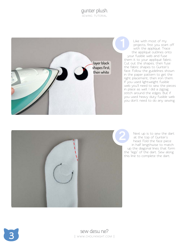#### gunter plush **SEWING TUTORIAL**



Like with most of my projects, first you start off with the appliqué. Trace the appliqué outlines onto your fusible web and fuse them it to your appliqué fabric. Cut out the shapes, then fuse the fabric shapes to Gunter's face. Follow the guidelines shown in the paper pattern to get the right placement, then iron them. If you used lightweight fusible web you'll need to sew the pieces in place as well. I did a zigzag stitch around the edges. But if you used heavy duty fusible web you don't need to do any sewing. Like with most of my<br>projects, first you start with the appliqué. Trace<br>the appliqué outlines ont<br>your fusible web and fuse<br>them it to your appliqué fabric<br>Cut out the shapes to Gunter's<br>face. Follow the guidelines sho<br>in



Next up is to sew the dart at the top of Gunter's head. Fold the face piece in half lengthwise to match up the diagonal lines that form the "legs" of the dart. Sew along

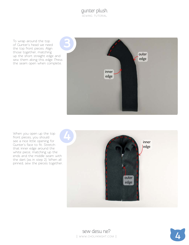To wrap around the top of Gunter's head we need the top front pieces. Align those together, matching up the short straight edge and sew them along this edge. Press the seam open when complete.



When you open up the top front pieces, you should see a nice little opening for Gunter's face to fit. Stretch that inner edge around the white piece, matching up the ends and the middle seam with the dart (as in step 2). When all pinned, sew the pieces together.





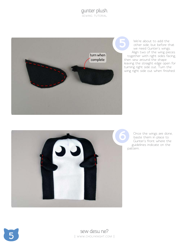

We're about to add the other side, but before that we need Gunter's wings. Align two of the wing pieces together with right sides facing, then sew around the shape leaving the straight edge open for turning right side out. Turn the wing right side out when finished.



Once the wings are done, baste them in place to Gunter's front where the guidelines indicate on the pattern.

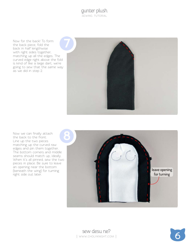Now for the back! To form the back piece, fold the back in half lengthwise with right sides together, matching up all the edges. The curved edge right above the fold is kind of like a large dart, we're going to sew that the same way as we did in step 2.



Now we can finally attach the back to the front. Line up the two pieces matching up the curved raw edges and pin them together. The bottom corners and middle seams should match up, ideally. When it's all pinned, sew the two pieces in place. Be sure to leave an opening near the bottom (beneath the wing) for turning right side out later.



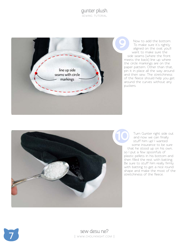

Now to add the bottom. To make sure it's rightly aligned on the oval, you'll want to make sure the side seams (where the front meets the back) line up where the circle markings are on the paper pattern. Other than that, pin it in place all the way around and then sew. The stretchiness of the fleece should help you get around the curves without any puckers.



Turn Gunter right side out and now we can finally stuff him up! I wanted some insurance to be sure that he stood up on his own, so I put a few spoonfuls of plastic pellets in his bottom and then filled the rest with batting. Be sure to stuff him really firmly with batting to get a nice round shape and make the most of the stretchiness of the fleece.

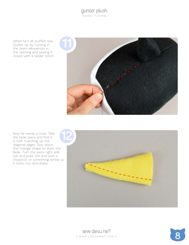When he's all stuffed, sew Gunter up by tucking in the seam allowances in the opening and sewing it closed with a ladder stitch.



Now he needs a nose. Take the beak piece and fold it in half, matching up the diagonal edges. Sew down this triangle shape to start the beak. Turn the piece right side out and poke the end with a chopstick or something similar so it looks nice and sharp.

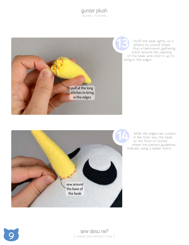

Stuff the beak lightly so it retains its conical shape. Run a hand-sewn gathering stitch around the opening of the beak and cinch it up to bring in the edges.



While the edges are tucked in like that, sew the beak to the front of Gunter where the pattern guidelines indicate using a ladder stitch.



**9** sew desu ne?<br>
I WWW.CHOLYKNIGHT.CO | www.cholyknight.com |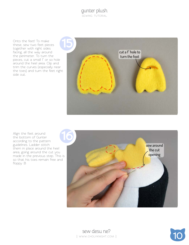Onto the feet! To make these, sew two feet pieces together with right sides facing, all the way around the perimeter. To turn the pieces, cut a small 1" or so hole around the heel area. Clip and trim the curves (especially near the toes) and turn the feet right side out.



Align the feet around the bottom of Gunter according to the pattern guidelines. Ladder stitch them in place around the heel area, going around the cut you made in the previous step. This is so that his toes remain free and floppy :B



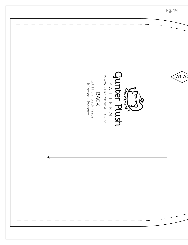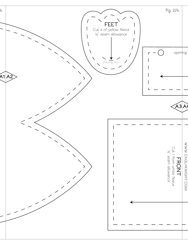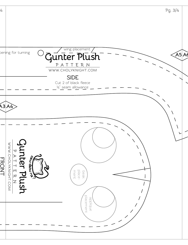